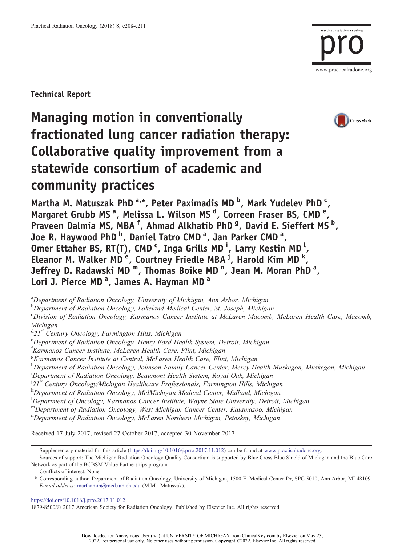

Technical Report

# Managing motion in conventionally fractionated lung cancer radiation therapy: Collaborative quality improvement from a statewide consortium of academic and community practices



Martha M. Matuszak PhD<sup>a,\*</sup>, Peter Paximadis MD<sup>b</sup>, Mark Yudelev PhD<sup>c</sup>, Margaret Grubb MS<sup>a</sup>, Melissa L. Wilson MS<sup>d</sup>, Correen Fraser BS, CMD<sup>e</sup>, Praveen Dalmia MS, MBA<sup>f</sup>, Ahmad Alkhatib PhD<sup>g</sup>, David E. Sieffert MS<sup>b</sup>, Joe R. Haywood PhD <sup>h</sup>, Daniel Tatro CMD <sup>a</sup>, Jan Parker CMD <sup>a</sup>, Omer Ettaher BS, RT(T), CMD<sup>c</sup>, Inga Grills MD<sup>i</sup>, Larry Kestin MD<sup>1</sup>, Eleanor M. Walker MD<sup>e</sup>, Courtney Friedle MBA<sup>j</sup>, Harold Kim MD<sup>k</sup>, Jeffrey D. Radawski MD <sup>m</sup>, Thomas Boike MD <sup>n</sup>, Jean M. Moran PhD <sup>a</sup>, Lori J. Pierce MD<sup>a</sup>, James A. Hayman MD<sup>a</sup>

<sup>a</sup>Department of Radiation Oncology, University of Michigan, Ann Arbor, Michigan

<sup>b</sup>Department of Radiation Oncology, Lakeland Medical Center, St. Joseph, Michigan

c Division of Radiation Oncology, Karmanos Cancer Institute at McLaren Macomb, McLaren Health Care, Macomb, Michigan

<sup>d</sup>21<sup>st</sup> Century Oncology, Farmington Hills, Michigan<br><sup>e</sup>Department of Padiation Oncology, Hanny Ford Ha

<sup>e</sup>Department of Radiation Oncology, Henry Ford Health System, Detroit, Michigan

f Karmanos Cancer Institute, McLaren Health Care, Flint, Michigan

<sup>g</sup>Karmanos Cancer Institute at Central, McLaren Health Care, Flint, Michigan

h<br>Department of Radiation Oncology, Johnson Family Cancer Center, Mercy Health Muskegon, Muskegon, Michigan

<sup>i</sup>Department of Radiation Oncology, Beaumont Health System, Royal Oak, Michigan

<sup>j</sup>21<sup>st</sup> Century Oncology/Michigan Healthcare Professionals, Farmington Hills, Michigan

k<br>Department of Radiation Oncology, MidMichigan Medical Center, Midland, Michigan

<sup>1</sup>Department of Oncology, Karmanos Cancer Institute, Wayne State University, Detroit, Michigan

<sup>m</sup>Department of Radiation Oncology, West Michigan Cancer Center, Kalamazoo, Michigan

n Department of Radiation Oncology, McLaren Northern Michigan, Petoskey, Michigan

Received 17 July 2017; revised 27 October 2017; accepted 30 November 2017

Supplementary material for this article [\(https://doi.org/10.1016/j.prro.2017.11.012\)](https://doi.org/10.1016/j.prro.2017.11.012) can be found at [www.practicalradonc.org](http://www.practicalradonc.org/article/S1879-8500(17)30372-7/fulltext).

Sources of support: The Michigan Radiation Oncology Quality Consortium is supported by Blue Cross Blue Shield of Michigan and the Blue Care Network as part of the BCBSM Value Partnerships program.

Conflicts of interest: None.

⁎ Corresponding author. Department of Radiation Oncology, University of Michigan, 1500 E. Medical Center Dr, SPC 5010, Ann Arbor, MI 48109. E-mail address: <marthamm@med.umich.edu> (M.M. Matuszak).

<https://doi.org/10.1016/j.prro.2017.11.012>

1879-8500/© 2017 American Society for Radiation Oncology. Published by Elsevier Inc. All rights reserved.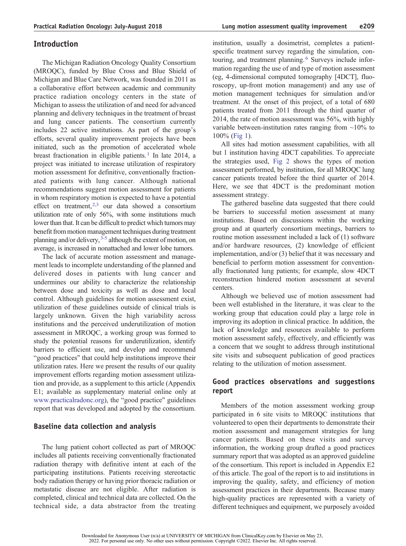The Michigan Radiation Oncology Quality Consortium (MROQC), funded by Blue Cross and Blue Shield of Michigan and Blue Care Network, was founded in 2011 as a collaborative effort between academic and community practice radiation oncology centers in the state of Michigan to assess the utilization of and need for advanced planning and delivery techniques in the treatment of breast and lung cancer patients. The consortium currently includes 22 active institutions. As part of the group's efforts, several quality improvement projects have been initiated, such as the promotion of accelerated whole breast fractionation in eligible patients[.](#page-3-0)<sup>[1](#page-3-0)</sup> In late 2014, a project was initiated to increase utilization of respiratory motion assessment for definitive, conventionally fractionated patients with lung cancer. Although national recommendations suggest motion assessment for patients in whom respiratory motion is expected to have a potential effect on treatment[,](#page-3-0)<sup>[2,3](#page-3-0)</sup> our data showed a consortium utilization rate of only 56%, with some institutions much lower than that. It can be difficult to predict which tumors may benefit from motion management techniques during treatment planning and/or delivery[,](#page-3-0) [3-5](#page-3-0) although the extent of motion, on average, is increased in nonattached and lower lobe tumors.

The lack of accurate motion assessment and management leads to incomplete understanding of the planned and delivered doses in patients with lung cancer and undermines our ability to characterize the relationship between dose and toxicity as well as dose and local control. Although guidelines for motion assessment exist, utilization of these guidelines outside of clinical trials is largely unknown. Given the high variability across institutions and the perceived underutilization of motion assessment in MROQC, a working group was formed to study the potential reasons for underutilization, identify barriers to efficient use, and develop and recommend "good practices" that could help institutions improve their utilization rates. Here we present the results of our quality improvement efforts regarding motion assessment utilization and provide, as a supplement to this article (Appendix E1; available as supplementary material online only at [www.practicalradonc.org](http://www.practicalradonc.org/article/S1879-8500(17)30372-7/fulltext)), the "good practice" guidelines report that was developed and adopted by the consortium.

# Baseline data collection and analysis

The lung patient cohort collected as part of MROQC includes all patients receiving conventionally fractionated radiation therapy with definitive intent at each of the participating institutions. Patients receiving stereotactic body radiation therapy or having prior thoracic radiation or metastatic disease are not eligible. After radiation is completed, clinical and technical data are collected. On the technical side, a data abstractor from the treating institution, usually a dosimetrist, completes a patientspecific treatment survey regarding the simulation, con-touring, and treatment planning[.](#page-3-0)<sup>[6](#page-3-0)</sup> Surveys include information regarding the use of and type of motion assessment (eg, 4-dimensional computed tomography [4DCT], fluoroscopy, up-front motion management) and any use of motion management techniques for simulation and/or treatment. At the onset of this project, of a total of 680 patients treated from 2011 through the third quarter of 2014, the rate of motion assessment was 56%, with highly variable between-institution rates ranging from  $\sim$ 10% to 100% [\(Fig 1](#page-2-0)).

All sites had motion assessment capabilities, with all but 1 institution having 4DCT capabilities. To appreciate the strategies used, [Fig 2](#page-2-0) shows the types of motion assessment performed, by institution, for all MROQC lung cancer patients treated before the third quarter of 2014. Here, we see that 4DCT is the predominant motion assessment strategy.

The gathered baseline data suggested that there could be barriers to successful motion assessment at many institutions. Based on discussions within the working group and at quarterly consortium meetings, barriers to routine motion assessment included a lack of (1) software and/or hardware resources, (2) knowledge of efficient implementation, and/or (3) belief that it was necessary and beneficial to perform motion assessment for conventionally fractionated lung patients; for example, slow 4DCT reconstruction hindered motion assessment at several centers.

Although we believed use of motion assessment had been well established in the literature, it was clear to the working group that education could play a large role in improving its adoption in clinical practice. In addition, the lack of knowledge and resources available to perform motion assessment safely, effectively, and efficiently was a concern that we sought to address through institutional site visits and subsequent publication of good practices relating to the utilization of motion assessment.

# Good practices observations and suggestions report

Members of the motion assessment working group participated in 6 site visits to MROQC institutions that volunteered to open their departments to demonstrate their motion assessment and management strategies for lung cancer patients. Based on these visits and survey information, the working group drafted a good practices summary report that was adopted as an approved guideline of the consortium. This report is included in Appendix E2 of this article. The goal of the report is to aid institutions in improving the quality, safety, and efficiency of motion assessment practices in their departments. Because many high-quality practices are represented with a variety of different techniques and equipment, we purposely avoided

Downloaded for Anonymous User (n/a) at UNIVERSITY OF MICHIGAN from ClinicalKey.com by Elsevier on May 23, 2022. For personal use only. No other uses without permission. Copyright ©2022. Elsevier Inc. All rights reserved.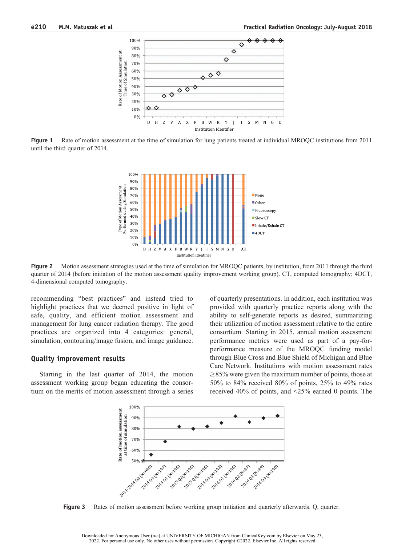<span id="page-2-0"></span>

Figure 1 Rate of motion assessment at the time of simulation for lung patients treated at individual MROQC institutions from 2011 until the third quarter of 2014.



Figure 2 Motion assessment strategies used at the time of simulation for MROQC patients, by institution, from 2011 through the third quarter of 2014 (before initiation of the motion assessment quality improvement working group). CT, computed tomography; 4DCT, 4-dimensional computed tomography.

recommending "best practices" and instead tried to highlight practices that we deemed positive in light of safe, quality, and efficient motion assessment and management for lung cancer radiation therapy. The good practices are organized into 4 categories: general, simulation, contouring/image fusion, and image guidance.

#### Quality improvement results

Starting in the last quarter of 2014, the motion assessment working group began educating the consortium on the merits of motion assessment through a series of quarterly presentations. In addition, each institution was provided with quarterly practice reports along with the ability to self-generate reports as desired, summarizing their utilization of motion assessment relative to the entire consortium. Starting in 2015, annual motion assessment performance metrics were used as part of a pay-forperformance measure of the MROQC funding model through Blue Cross and Blue Shield of Michigan and Blue Care Network. Institutions with motion assessment rates  $\geq$ 85% were given the maximum number of points, those at 50% to 84% received 80% of points, 25% to 49% rates received 40% of points, and  $\leq$ 25% earned 0 points. The



Figure 3 Rates of motion assessment before working group initiation and quarterly afterwards. Q, quarter.